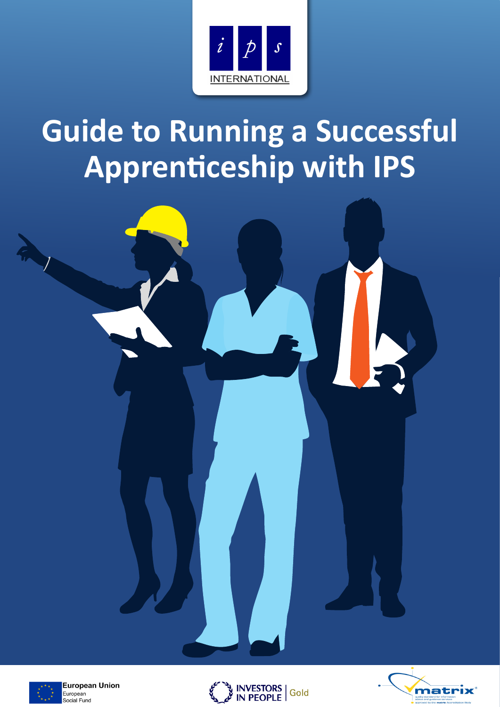

# **Guide to Running a Successful Apprenticeship with IPS**





**European Union** European Social Fund



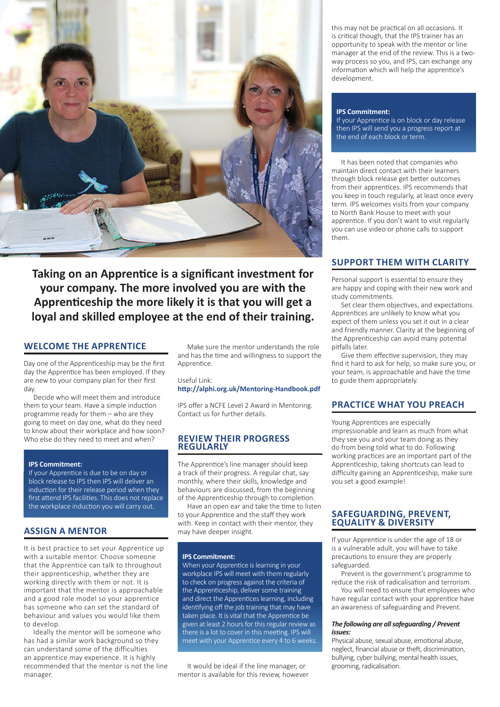

**Taking on an Apprentice is a significant investment for your company. The more involved you are with the Apprenticeship the more likely it is that you will get a loyal and skilled employee at the end of their training.**

# **WELCOME THE APPRENTICE**

Day one of the Apprenticeship may be the first day the Apprentice has been employed. If they are new to your company plan for their first day.

Decide who will meet them and introduce them to your team. Have a simple induction programme ready for them – who are they going to meet on day one, what do they need to know about their workplace and how soon? Who else do they need to meet and when?

#### **IPS Commitment:**

If your Apprentice is due to be on day or block release to IPS then IPS will deliver an induction for their release period when they first attend IPS facilities. This does not replace the workplace induction you will carry out.

# **ASSIGN A MENTOR**

It is best practice to set your Apprentice up with a suitable mentor. Choose someone that the Apprentice can talk to throughout their apprenticeship, whether they are working directly with them or not. It is important that the mentor is approachable and a good role model so your apprentice has someone who can set the standard of behaviour and values you would like them to develop.

Ideally the mentor will be someone who has had a similar work background so they can understand some of the difficulties an apprentice may experience. It is highly recommended that the mentor is not the line manager.

Make sure the mentor understands the role and has the time and willingness to support the Apprentice.

Useful Link:

## **http://alphi.org.uk/Mentoring-Handbook.pdf**

IPS offer a NCFE Level 2 Award in Mentoring. Contact us for further details.

#### **REVIEW THEIR PROGRESS REGULARLY**

The Apprentice's line manager should keep a track of their progress. A regular chat, say monthly, where their skills, knowledge and behaviours are discussed, from the beginning of the Apprenticeship through to completion.

Have an open ear and take the time to listen to your Apprentice and the staff they work with. Keep in contact with their mentor, they may have deeper insight.

#### **IPS Commitment:**

When your Apprentice is learning in your workplace IPS will meet with them regularly to check on progress against the criteria of the Apprenticeship, deliver some training and direct the Apprentices learning, including identifying off the job training that may have taken place. It is vital that the Apprentice be given at least 2 hours for this regular review as there is a lot to cover in this meeting. IPS will meet with your Apprentice every 4 to 6 weeks.

It would be ideal if the line manager, or mentor is available for this review, however this may not be practical on all occasions. It is critical though, that the IPS trainer has an opportunity to speak with the mentor or line manager at the end of the review. This is a twoway process so you, and IPS, can exchange any information which will help the apprentice's development.

#### **IPS Commitment:**

If your Apprentice is on block or day release then IPS will send you a progress report at the end of each block or term.

It has been noted that companies who maintain direct contact with their learners through block release get better outcomes from their apprentices. IPS recommends that you keep in touch regularly, at least once every term. IPS welcomes visits from your company to North Bank House to meet with your apprentice. If you don't want to visit regularly you can use video or phone calls to support them.

# **SUPPORT THEM WITH CLARITY**

Personal support is essential to ensure they are happy and coping with their new work and study commitments.

Set clear them objectives, and expectations. Apprentices are unlikely to know what you expect of them unless you set it out in a clear and friendly manner. Clarity at the beginning of the Apprenticeship can avoid many potential pitfalls later.

Give them effective supervision, they may find it hard to ask for help, so make sure you, or your team, is approachable and have the time to guide them appropriately.

# **PRACTICE WHAT YOU PREACH**

Young Apprentices are especially impressionable and learn as much from what they see you and your team doing as they do from being told what to do. Following working practices are an important part of the Apprenticeship, taking shortcuts can lead to difficulty gaining an Apprenticeship, make sure you set a good example!

#### **SAFEGUARDING, PREVENT, EQUALITY & DIVERSITY**

If your Apprentice is under the age of 18 or is a vulnerable adult, you will have to take precautions to ensure they are properly safeguarded.

Prevent is the government's programme to reduce the risk of radicalisation and terrorism.

You will need to ensure that employees who have regular contact with your apprentice have an awareness of safeguarding and Prevent.

#### *The following are all safeguarding / Prevent issues:*

Physical abuse, sexual abuse, emotional abuse, neglect, financial abuse or theft, discrimination, bullying, cyber bullying, mental health issues, grooming, radicalisation.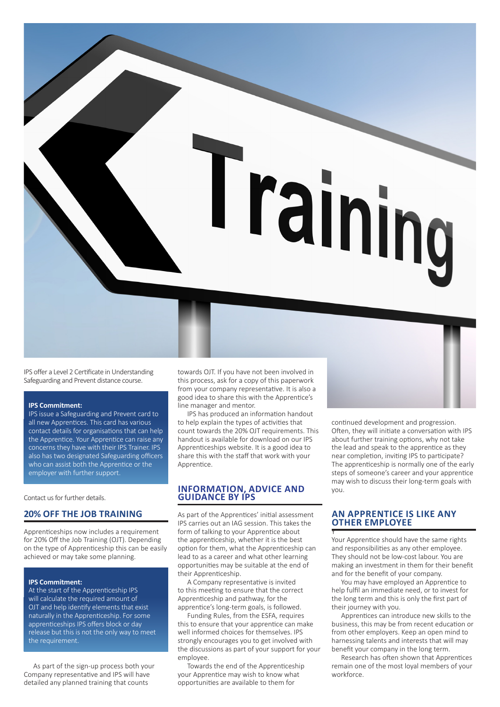

IPS offer a Level 2 Certificate in Understanding Safeguarding and Prevent distance course.

#### **IPS Commitment:**

IPS issue a Safeguarding and Prevent card to all new Apprentices. This card has various contact details for organisations that can help the Apprentice. Your Apprentice can raise any concerns they have with their IPS Trainer. IPS also has two designated Safeguarding officers who can assist both the Apprentice or the employer with further support.

Contact us for further details.

## **20% OFF THE JOB TRAINING**

Apprenticeships now includes a requirement for 20% Off the Job Training (OJT). Depending on the type of Apprenticeship this can be easily achieved or may take some planning.

#### **IPS Commitment:**

At the start of the Apprenticeship IPS will calculate the required amount of OJT and help identify elements that exist naturally in the Apprenticeship. For some apprenticeships IPS offers block or day release but this is not the only way to meet the requirement.

As part of the sign-up process both your Company representative and IPS will have detailed any planned training that counts

towards OJT. If you have not been involved in this process, ask for a copy of this paperwork from your company representative. It is also a good idea to share this with the Apprentice's line manager and mentor.

IPS has produced an information handout to help explain the types of activities that count towards the 20% OJT requirements. This handout is available for download on our IPS Apprenticeships website. It is a good idea to share this with the staff that work with your Apprentice.

# **INFORMATION, ADVICE AND GUIDANCE BY IPS**

As part of the Apprentices' initial assessment IPS carries out an IAG session. This takes the form of talking to your Apprentice about the apprenticeship, whether it is the best option for them, what the Apprenticeship can lead to as a career and what other learning opportunities may be suitable at the end of their Apprenticeship.

A Company representative is invited to this meeting to ensure that the correct Apprenticeship and pathway, for the apprentice's long-term goals, is followed.

Funding Rules, from the ESFA, requires this to ensure that your apprentice can make well informed choices for themselves. IPS strongly encourages you to get involved with the discussions as part of your support for your employee.

Towards the end of the Apprenticeship your Apprentice may wish to know what opportunities are available to them for

continued development and progression. Often, they will initiate a conversation with IPS about further training options, why not take the lead and speak to the apprentice as they near completion, inviting IPS to participate? The apprenticeship is normally one of the early steps of someone's career and your apprentice may wish to discuss their long-term goals with you.

#### **AN APPRENTICE IS LIKE ANY OTHER EMPLOYEE** Y

Your Apprentice should have the same rights and responsibilities as any other employee. They should not be low-cost labour. You are making an investment in them for their benefit and for the benefit of your company.

You may have employed an Apprentice to help fulfil an immediate need, or to invest for the long term and this is only the first part of their journey with you.

Apprentices can introduce new skills to the business, this may be from recent education or from other employers. Keep an open mind to harnessing talents and interests that will may benefit your company in the long term.

Research has often shown that Apprentices remain one of the most loyal members of your workforce.